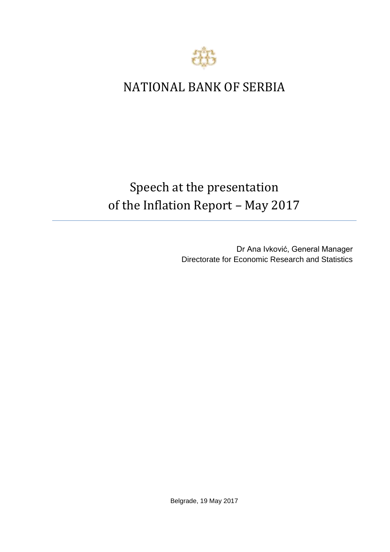

## NATIONAL BANK OF SERBIA

## Speech at the presentation of the Inflation Report *–* May 2017

Dr Ana Ivković, General Manager Directorate for Economic Research and Statistics

Belgrade, 19 May 2017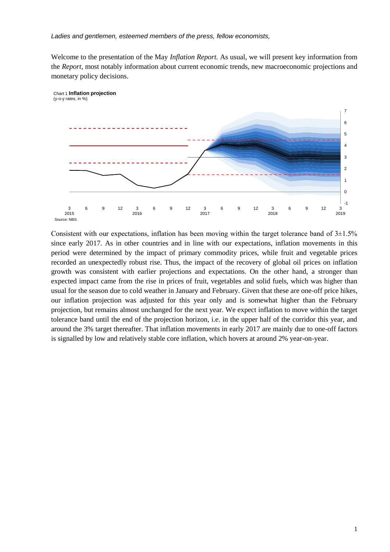Welcome to the presentation of the May *Inflation Report.* As usual, we will present key information from the *Report*, most notably information about current economic trends, new macroeconomic projections and monetary policy decisions.



Chart 1 **Inflation projection** (y-o-y rates, in %)

Consistent with our expectations, inflation has been moving within the target tolerance band of  $3\pm1.5\%$ since early 2017. As in other countries and in line with our expectations, inflation movements in this period were determined by the impact of primary commodity prices, while fruit and vegetable prices recorded an unexpectedly robust rise. Thus, the impact of the recovery of global oil prices on inflation growth was consistent with earlier projections and expectations. On the other hand, a stronger than expected impact came from the rise in prices of fruit, vegetables and solid fuels, which was higher than usual for the season due to cold weather in January and February. Given that these are one-off price hikes, our inflation projection was adjusted for this year only and is somewhat higher than the February projection, but remains almost unchanged for the next year. We expect inflation to move within the target tolerance band until the end of the projection horizon, i.e. in the upper half of the corridor this year, and around the 3% target thereafter. That inflation movements in early 2017 are mainly due to one-off factors is signalled by low and relatively stable core inflation, which hovers at around 2% year-on-year.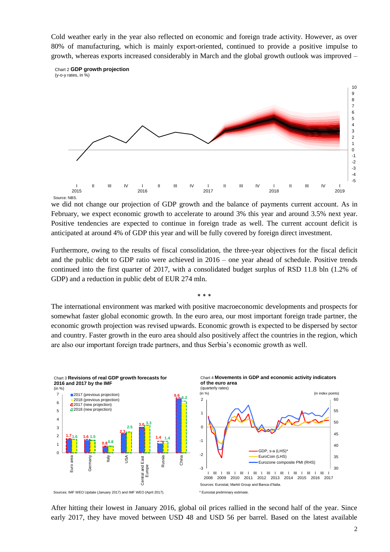Cold weather early in the year also reflected on economic and foreign trade activity. However, as over 80% of manufacturing, which is mainly export-oriented, continued to provide a positive impulse to growth, whereas exports increased considerably in March and the global growth outlook was improved –





Source: NBS

we did not change our projection of GDP growth and the balance of payments current account. As in February, we expect economic growth to accelerate to around 3% this year and around 3.5% next year. Positive tendencies are expected to continue in foreign trade as well. The current account deficit is anticipated at around 4% of GDP this year and will be fully covered by foreign direct investment.

Furthermore, owing to the results of fiscal consolidation, the three-year objectives for the fiscal deficit and the public debt to GDP ratio were achieved in 2016 – one year ahead of schedule. Positive trends continued into the first quarter of 2017, with a consolidated budget surplus of RSD 11.8 bln (1.2% of GDP) and a reduction in public debt of EUR 274 mln.

\* \* \*

The international environment was marked with positive macroeconomic developments and prospects for somewhat faster global economic growth. In the euro area, our most important foreign trade partner, the economic growth projection was revised upwards. Economic growth is expected to be dispersed by sector and country. Faster growth in the euro area should also positively affect the countries in the region, which are also our important foreign trade partners, and thus Serbia's economic growth as well.



After hitting their lowest in January 2016, global oil prices rallied in the second half of the year. Since early 2017, they have moved between USD 48 and USD 56 per barrel. Based on the latest available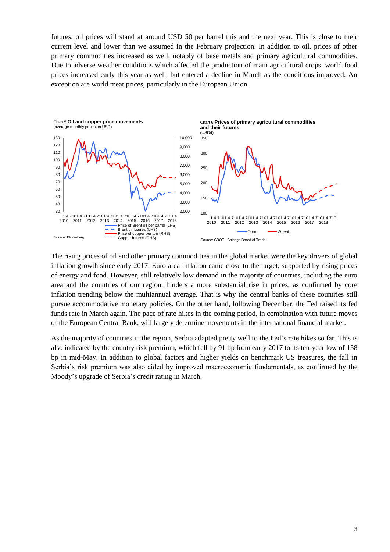futures, oil prices will stand at around USD 50 per barrel this and the next year. This is close to their current level and lower than we assumed in the February projection. In addition to oil, prices of other primary commodities increased as well, notably of base metals and primary agricultural commodities. Due to adverse weather conditions which affected the production of main agricultural crops, world food prices increased early this year as well, but entered a decline in March as the conditions improved. An exception are world meat prices, particularly in the European Union.



The rising prices of oil and other primary commodities in the global market were the key drivers of global inflation growth since early 2017. Euro area inflation came close to the target, supported by rising prices of energy and food. However, still relatively low demand in the majority of countries, including the euro area and the countries of our region, hinders a more substantial rise in prices, as confirmed by core inflation trending below the multiannual average. That is why the central banks of these countries still pursue accommodative monetary policies. On the other hand, following December, the Fed raised its fed funds rate in March again. The pace of rate hikes in the coming period, in combination with future moves of the European Central Bank, will largely determine movements in the international financial market.

As the majority of countries in the region, Serbia adapted pretty well to the Fed's rate hikes so far. This is also indicated by the country risk premium, which fell by 91 bp from early 2017 to its ten-year low of 158 bp in mid-May. In addition to global factors and higher yields on benchmark US treasures, the fall in Serbia's risk premium was also aided by improved macroeconomic fundamentals, as confirmed by the Moody's upgrade of Serbia's credit rating in March.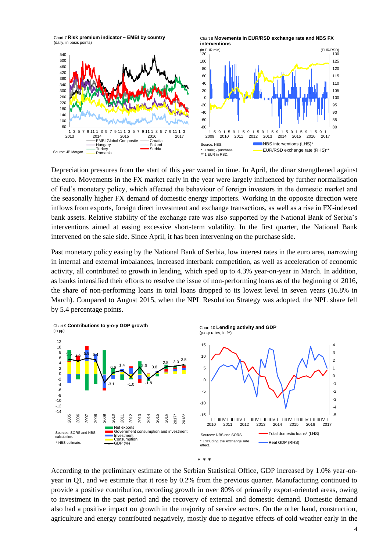Chart 7 **Risk premium indicator − EMBI by country**  (daily, in basis points)



Depreciation pressures from the start of this year waned in time. In April, the dinar strengthened against the euro. Movements in the FX market early in the year were largely influenced by further normalisation of Fed's monetary policy, which affected the behaviour of foreign investors in the domestic market and the seasonally higher FX demand of domestic energy importers. Working in the opposite direction were inflows from exports, foreign direct investment and exchange transactions, as well as a rise in FX-indexed bank assets. Relative stability of the exchange rate was also supported by the National Bank of Serbia's interventions aimed at easing excessive short-term volatility. In the first quarter, the National Bank intervened on the sale side. Since April, it has been intervening on the purchase side.

Past monetary policy easing by the National Bank of Serbia, low interest rates in the euro area, narrowing in internal and external imbalances, increased interbank competition, as well as acceleration of economic activity, all contributed to growth in lending, which sped up to 4.3% year-on-year in March. In addition, as banks intensified their efforts to resolve the issue of non-performing loans as of the beginning of 2016, the share of non-performing loans in total loans dropped to its lowest level in seven years (16.8% in March). Compared to August 2015, when the NPL Resolution Strategy was adopted, the NPL share fell by 5.4 percentage points.



According to the preliminary estimate of the Serbian Statistical Office, GDP increased by 1.0% year-onyear in Q1, and we estimate that it rose by 0.2% from the previous quarter. Manufacturing continued to provide a positive contribution, recording growth in over 80% of primarily export-oriented areas, owing to investment in the past period and the recovery of external and domestic demand. Domestic demand also had a positive impact on growth in the majority of service sectors. On the other hand, construction, agriculture and energy contributed negatively, mostly due to negative effects of cold weather early in the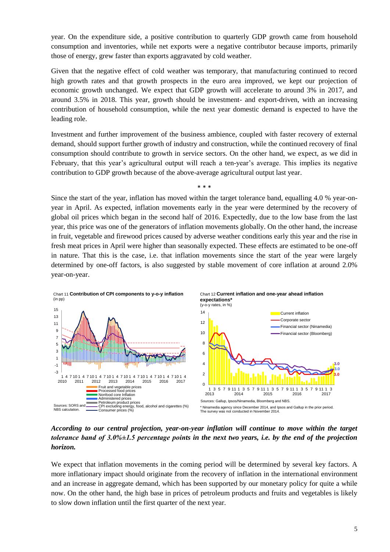year. On the expenditure side, a positive contribution to quarterly GDP growth came from household consumption and inventories, while net exports were a negative contributor because imports, primarily those of energy, grew faster than exports aggravated by cold weather.

Given that the negative effect of cold weather was temporary, that manufacturing continued to record high growth rates and that growth prospects in the euro area improved, we kept our projection of economic growth unchanged. We expect that GDP growth will accelerate to around 3% in 2017, and around 3.5% in 2018. This year, growth should be investment- and export-driven, with an increasing contribution of household consumption, while the next year domestic demand is expected to have the leading role.

Investment and further improvement of the business ambience, coupled with faster recovery of external demand, should support further growth of industry and construction, while the continued recovery of final consumption should contribute to growth in service sectors. On the other hand, we expect, as we did in February, that this year's agricultural output will reach a ten-year's average. This implies its negative contribution to GDP growth because of the above-average agricultural output last year.

\* \* \*

Since the start of the year, inflation has moved within the target tolerance band, equalling 4.0 % year-onyear in April. As expected, inflation movements early in the year were determined by the recovery of global oil prices which began in the second half of 2016. Expectedly, due to the low base from the last year, this price was one of the generators of inflation movements globally. On the other hand, the increase in fruit, vegetable and firewood prices caused by adverse weather conditions early this year and the rise in fresh meat prices in April were higher than seasonally expected. These effects are estimated to be one-off in nature. That this is the case, i.e. that inflation movements since the start of the year were largely determined by one-off factors, is also suggested by stable movement of core inflation at around 2.0% year-on-year.



*According to our central projection, year-on-year inflation will continue to move within the target tolerance band of 3.0%±1.5 percentage points in the next two years, i.e. by the end of the projection horizon.*

We expect that inflation movements in the coming period will be determined by several key factors. A more inflationary impact should originate from the recovery of inflation in the international environment and an increase in aggregate demand, which has been supported by our monetary policy for quite a while now. On the other hand, the high base in prices of petroleum products and fruits and vegetables is likely to slow down inflation until the first quarter of the next year.